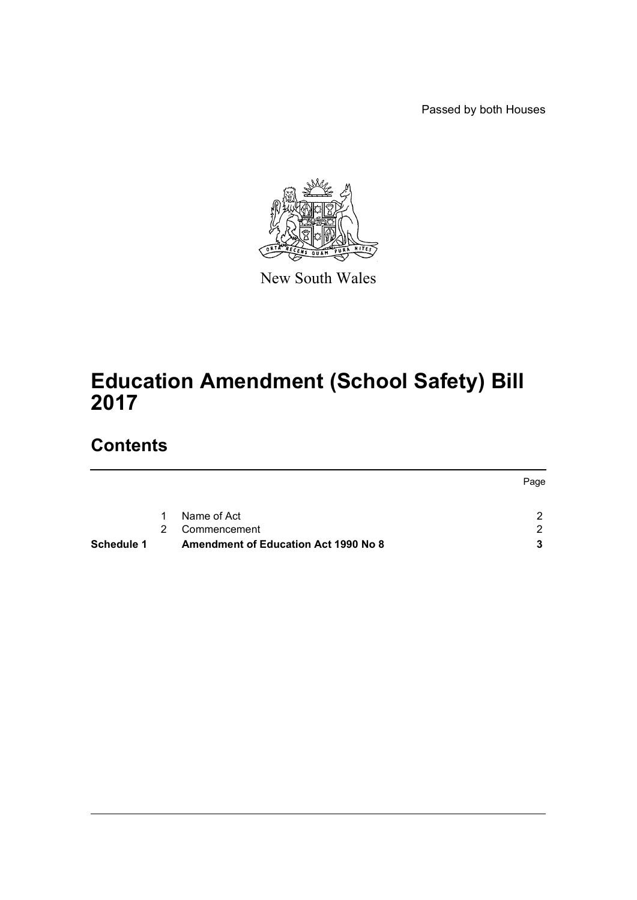Passed by both Houses



New South Wales

# **Education Amendment (School Safety) Bill 2017**

# **Contents**

| Schedule 1 |   | <b>Amendment of Education Act 1990 No 8</b> |      |
|------------|---|---------------------------------------------|------|
|            | 2 | Commencement                                |      |
|            | 1 | Name of Act                                 |      |
|            |   |                                             | Page |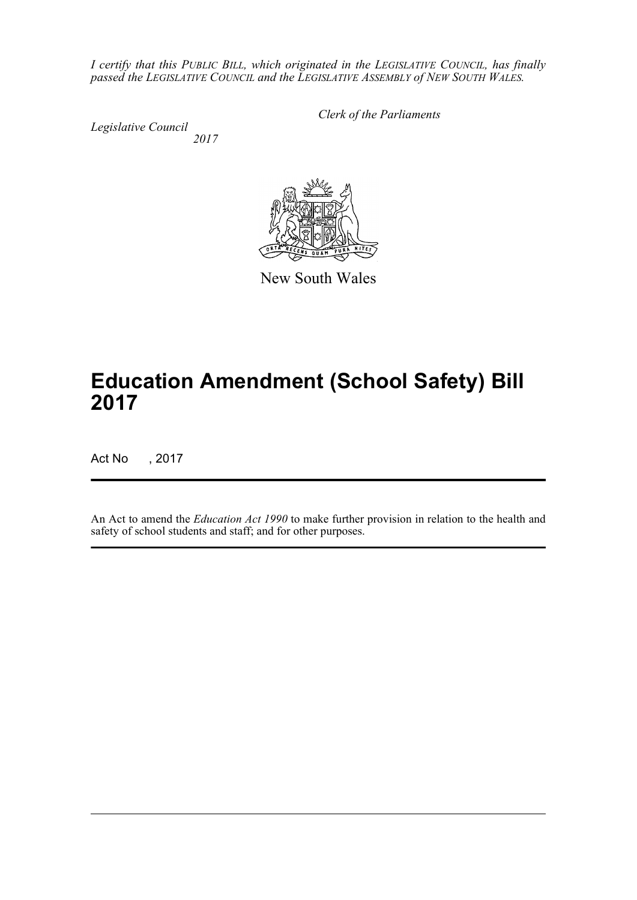*I certify that this PUBLIC BILL, which originated in the LEGISLATIVE COUNCIL, has finally passed the LEGISLATIVE COUNCIL and the LEGISLATIVE ASSEMBLY of NEW SOUTH WALES.*

*Legislative Council 2017* *Clerk of the Parliaments*



New South Wales

# **Education Amendment (School Safety) Bill 2017**

Act No , 2017

An Act to amend the *Education Act 1990* to make further provision in relation to the health and safety of school students and staff; and for other purposes.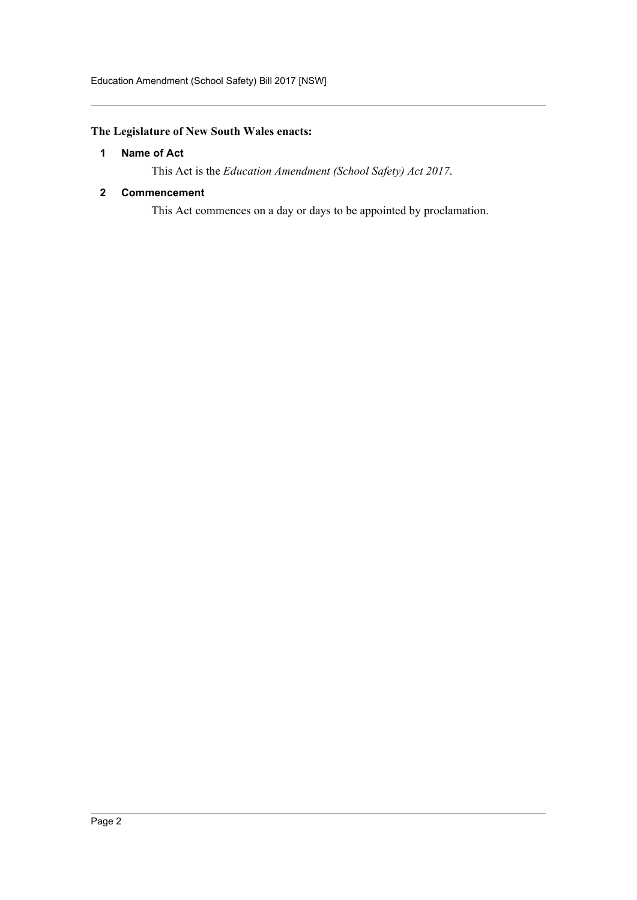# <span id="page-2-0"></span>**The Legislature of New South Wales enacts:**

# **1 Name of Act**

This Act is the *Education Amendment (School Safety) Act 2017*.

# <span id="page-2-1"></span>**2 Commencement**

This Act commences on a day or days to be appointed by proclamation.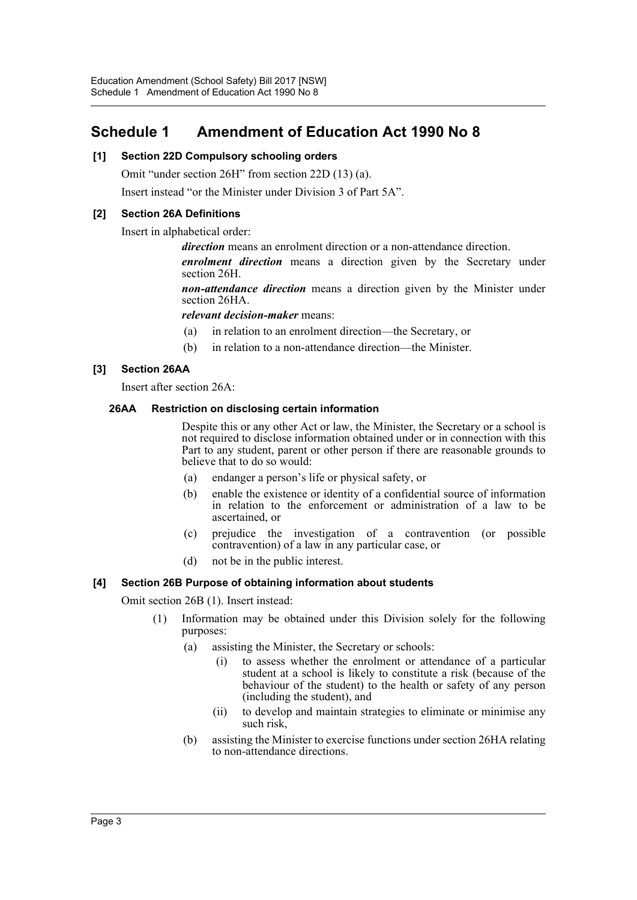# <span id="page-3-0"></span>**Schedule 1 Amendment of Education Act 1990 No 8**

# **[1] Section 22D Compulsory schooling orders**

Omit "under section 26H" from section 22D (13) (a).

Insert instead "or the Minister under Division 3 of Part 5A".

# **[2] Section 26A Definitions**

Insert in alphabetical order:

*direction* means an enrolment direction or a non-attendance direction.

*enrolment direction* means a direction given by the Secretary under section 26H.

*non-attendance direction* means a direction given by the Minister under section 26HA.

#### *relevant decision-maker* means:

- (a) in relation to an enrolment direction—the Secretary, or
- (b) in relation to a non-attendance direction—the Minister.

# **[3] Section 26AA**

Insert after section 26A:

#### **26AA Restriction on disclosing certain information**

Despite this or any other Act or law, the Minister, the Secretary or a school is not required to disclose information obtained under or in connection with this Part to any student, parent or other person if there are reasonable grounds to believe that to do so would:

- (a) endanger a person's life or physical safety, or
- (b) enable the existence or identity of a confidential source of information in relation to the enforcement or administration of a law to be ascertained, or
- (c) prejudice the investigation of a contravention (or possible contravention) of a law in any particular case, or
- (d) not be in the public interest.

#### **[4] Section 26B Purpose of obtaining information about students**

Omit section 26B (1). Insert instead:

- (1) Information may be obtained under this Division solely for the following purposes:
	- (a) assisting the Minister, the Secretary or schools:
		- (i) to assess whether the enrolment or attendance of a particular student at a school is likely to constitute a risk (because of the behaviour of the student) to the health or safety of any person (including the student), and
		- (ii) to develop and maintain strategies to eliminate or minimise any such risk,
	- (b) assisting the Minister to exercise functions under section 26HA relating to non-attendance directions.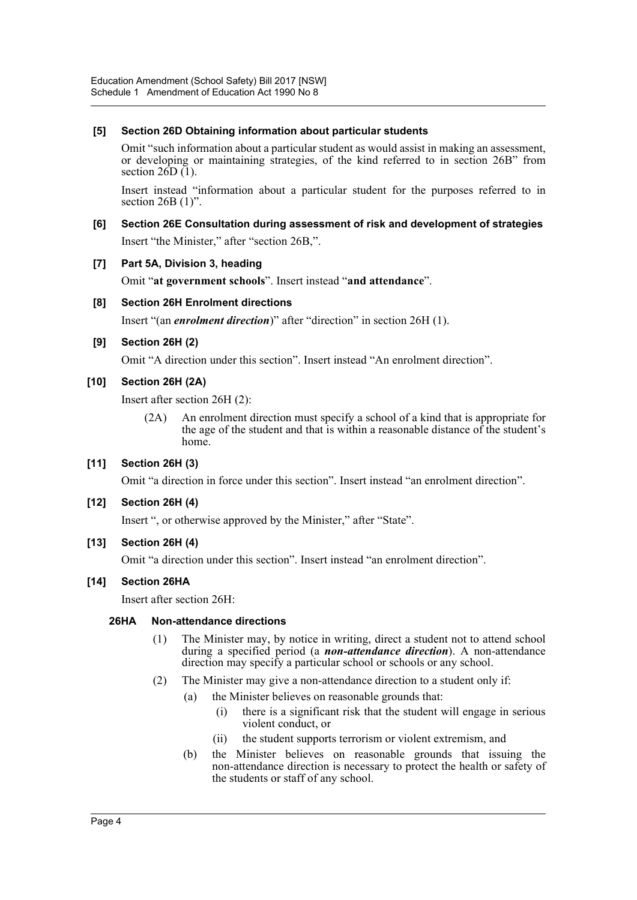# **[5] Section 26D Obtaining information about particular students**

Omit "such information about a particular student as would assist in making an assessment, or developing or maintaining strategies, of the kind referred to in section 26B" from section  $26D(1)$ .

Insert instead "information about a particular student for the purposes referred to in section  $26B(1)$ ".

**[6] Section 26E Consultation during assessment of risk and development of strategies** Insert "the Minister," after "section 26B,".

## **[7] Part 5A, Division 3, heading**

Omit "**at government schools**". Insert instead "**and attendance**".

## **[8] Section 26H Enrolment directions**

Insert "(an *enrolment direction*)" after "direction" in section 26H (1).

#### **[9] Section 26H (2)**

Omit "A direction under this section". Insert instead "An enrolment direction".

## **[10] Section 26H (2A)**

Insert after section 26H (2):

(2A) An enrolment direction must specify a school of a kind that is appropriate for the age of the student and that is within a reasonable distance of the student's home.

# **[11] Section 26H (3)**

Omit "a direction in force under this section". Insert instead "an enrolment direction".

#### **[12] Section 26H (4)**

Insert ", or otherwise approved by the Minister," after "State".

#### **[13] Section 26H (4)**

Omit "a direction under this section". Insert instead "an enrolment direction".

#### **[14] Section 26HA**

Insert after section 26H:

#### **26HA Non-attendance directions**

- (1) The Minister may, by notice in writing, direct a student not to attend school during a specified period (a *non-attendance direction*). A non-attendance direction may specify a particular school or schools or any school.
- (2) The Minister may give a non-attendance direction to a student only if:
	- (a) the Minister believes on reasonable grounds that:
		- (i) there is a significant risk that the student will engage in serious violent conduct, or
		- (ii) the student supports terrorism or violent extremism, and
	- (b) the Minister believes on reasonable grounds that issuing the non-attendance direction is necessary to protect the health or safety of the students or staff of any school.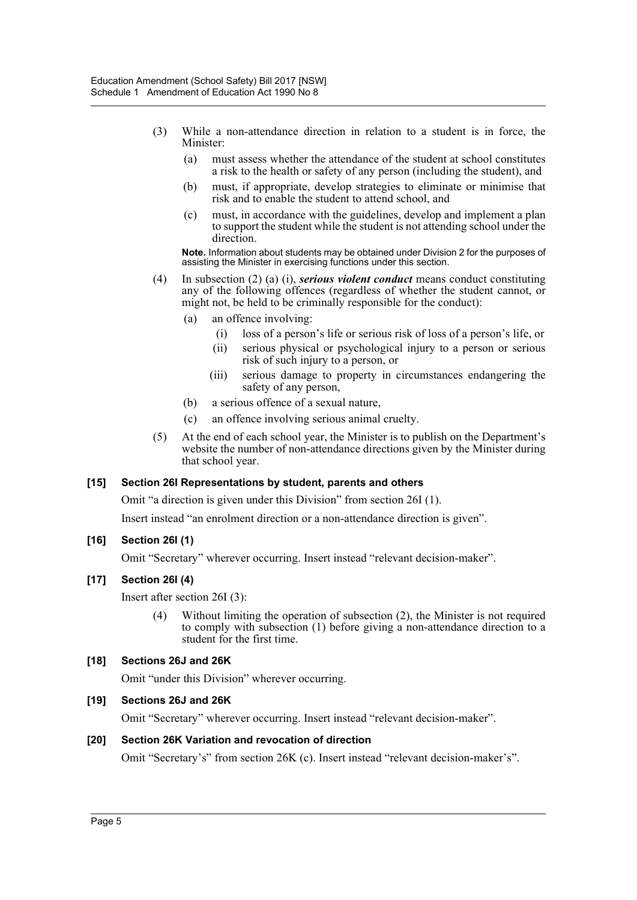- (3) While a non-attendance direction in relation to a student is in force, the Minister:
	- (a) must assess whether the attendance of the student at school constitutes a risk to the health or safety of any person (including the student), and
	- (b) must, if appropriate, develop strategies to eliminate or minimise that risk and to enable the student to attend school, and
	- (c) must, in accordance with the guidelines, develop and implement a plan to support the student while the student is not attending school under the direction.

**Note.** Information about students may be obtained under Division 2 for the purposes of assisting the Minister in exercising functions under this section.

- (4) In subsection (2) (a) (i), *serious violent conduct* means conduct constituting any of the following offences (regardless of whether the student cannot, or might not, be held to be criminally responsible for the conduct):
	- (a) an offence involving:
		- (i) loss of a person's life or serious risk of loss of a person's life, or
		- (ii) serious physical or psychological injury to a person or serious risk of such injury to a person, or
		- (iii) serious damage to property in circumstances endangering the safety of any person,
	- (b) a serious offence of a sexual nature,
	- (c) an offence involving serious animal cruelty.
- (5) At the end of each school year, the Minister is to publish on the Department's website the number of non-attendance directions given by the Minister during that school year.

#### **[15] Section 26I Representations by student, parents and others**

Omit "a direction is given under this Division" from section 26I (1).

Insert instead "an enrolment direction or a non-attendance direction is given".

#### **[16] Section 26I (1)**

Omit "Secretary" wherever occurring. Insert instead "relevant decision-maker".

#### **[17] Section 26I (4)**

Insert after section 26I (3):

(4) Without limiting the operation of subsection (2), the Minister is not required to comply with subsection (1) before giving a non-attendance direction to a student for the first time.

# **[18] Sections 26J and 26K**

Omit "under this Division" wherever occurring.

#### **[19] Sections 26J and 26K**

Omit "Secretary" wherever occurring. Insert instead "relevant decision-maker".

#### **[20] Section 26K Variation and revocation of direction**

Omit "Secretary's" from section 26K (c). Insert instead "relevant decision-maker's".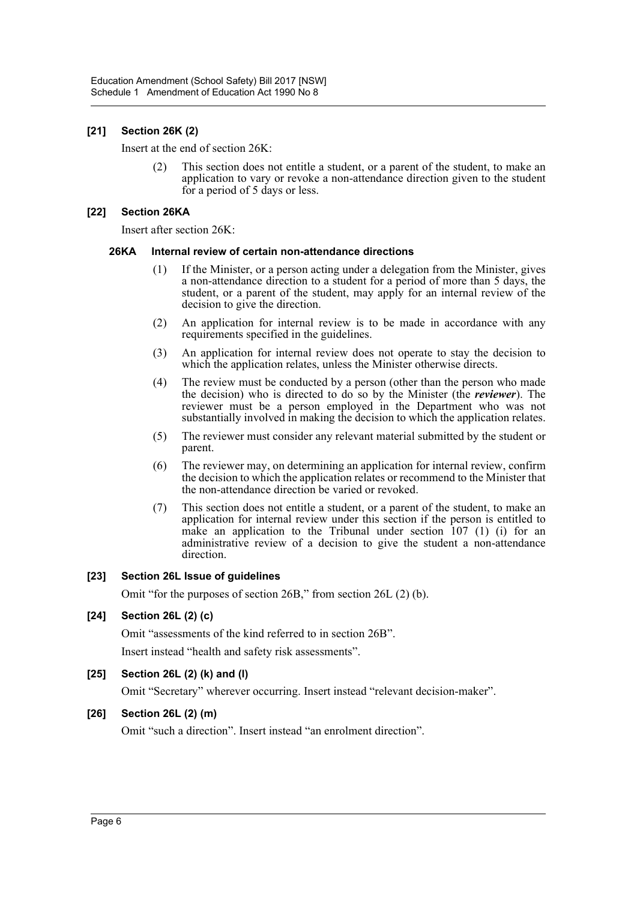# **[21] Section 26K (2)**

Insert at the end of section 26K:

(2) This section does not entitle a student, or a parent of the student, to make an application to vary or revoke a non-attendance direction given to the student for a period of 5 days or less.

#### **[22] Section 26KA**

Insert after section 26K:

#### **26KA Internal review of certain non-attendance directions**

- (1) If the Minister, or a person acting under a delegation from the Minister, gives a non-attendance direction to a student for a period of more than 5 days, the student, or a parent of the student, may apply for an internal review of the decision to give the direction.
- (2) An application for internal review is to be made in accordance with any requirements specified in the guidelines.
- (3) An application for internal review does not operate to stay the decision to which the application relates, unless the Minister otherwise directs.
- (4) The review must be conducted by a person (other than the person who made the decision) who is directed to do so by the Minister (the *reviewer*). The reviewer must be a person employed in the Department who was not substantially involved in making the decision to which the application relates.
- (5) The reviewer must consider any relevant material submitted by the student or parent.
- (6) The reviewer may, on determining an application for internal review, confirm the decision to which the application relates or recommend to the Minister that the non-attendance direction be varied or revoked.
- (7) This section does not entitle a student, or a parent of the student, to make an application for internal review under this section if the person is entitled to make an application to the Tribunal under section  $107$  (1) (i) for an administrative review of a decision to give the student a non-attendance direction.

#### **[23] Section 26L Issue of guidelines**

Omit "for the purposes of section 26B," from section 26L (2) (b).

#### **[24] Section 26L (2) (c)**

Omit "assessments of the kind referred to in section 26B". Insert instead "health and safety risk assessments".

#### **[25] Section 26L (2) (k) and (l)**

Omit "Secretary" wherever occurring. Insert instead "relevant decision-maker".

#### **[26] Section 26L (2) (m)**

Omit "such a direction". Insert instead "an enrolment direction".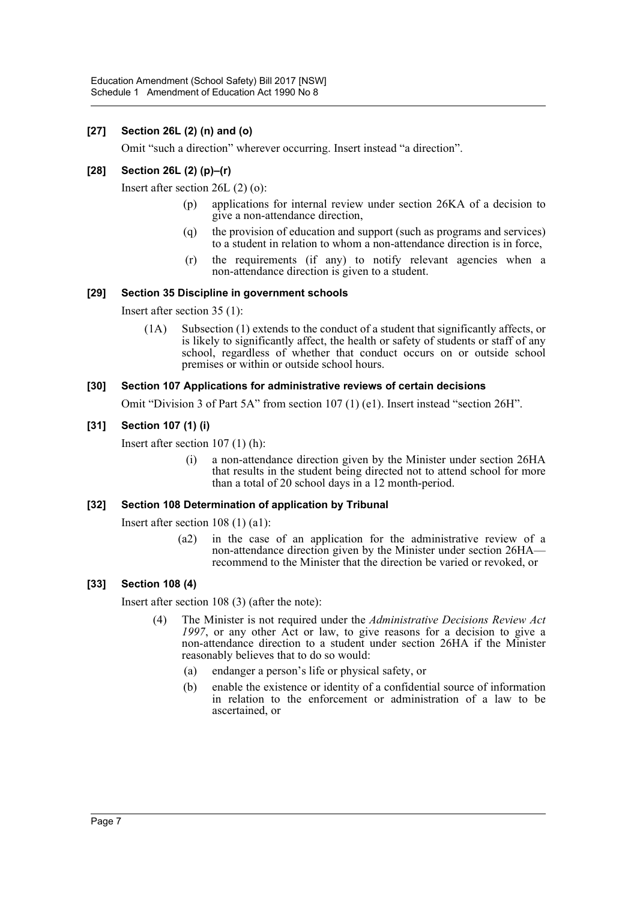# **[27] Section 26L (2) (n) and (o)**

Omit "such a direction" wherever occurring. Insert instead "a direction".

# **[28] Section 26L (2) (p)–(r)**

Insert after section 26L (2) (o):

- (p) applications for internal review under section 26KA of a decision to give a non-attendance direction,
- (q) the provision of education and support (such as programs and services) to a student in relation to whom a non-attendance direction is in force,
- (r) the requirements (if any) to notify relevant agencies when a non-attendance direction is given to a student.

## **[29] Section 35 Discipline in government schools**

Insert after section 35 (1):

(1A) Subsection (1) extends to the conduct of a student that significantly affects, or is likely to significantly affect, the health or safety of students or staff of any school, regardless of whether that conduct occurs on or outside school premises or within or outside school hours.

#### **[30] Section 107 Applications for administrative reviews of certain decisions**

Omit "Division 3 of Part 5A" from section 107 (1) (e1). Insert instead "section 26H".

#### **[31] Section 107 (1) (i)**

Insert after section 107 (1) (h):

(i) a non-attendance direction given by the Minister under section 26HA that results in the student being directed not to attend school for more than a total of 20 school days in a 12 month-period.

#### **[32] Section 108 Determination of application by Tribunal**

Insert after section 108 (1) (a1):

(a2) in the case of an application for the administrative review of a non-attendance direction given by the Minister under section 26HA recommend to the Minister that the direction be varied or revoked, or

#### **[33] Section 108 (4)**

Insert after section 108 (3) (after the note):

- (4) The Minister is not required under the *Administrative Decisions Review Act 1997*, or any other Act or law, to give reasons for a decision to give a non-attendance direction to a student under section 26HA if the Minister reasonably believes that to do so would:
	- (a) endanger a person's life or physical safety, or
	- (b) enable the existence or identity of a confidential source of information in relation to the enforcement or administration of a law to be ascertained, or